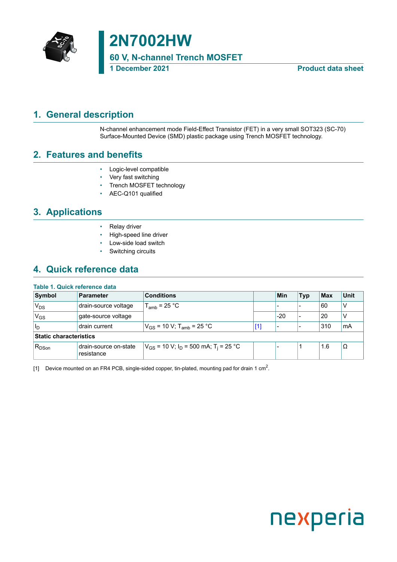

# **2N7002HW**

**60 V, N-channel Trench MOSFET**

**1 December 2021 Product data sheet**

### <span id="page-0-1"></span>**1. General description**

<span id="page-0-0"></span>N-channel enhancement mode Field-Effect Transistor (FET) in a very small SOT323 (SC-70) Surface-Mounted Device (SMD) plastic package using Trench MOSFET technology.

### <span id="page-0-2"></span>**2. Features and benefits**

- Logic-level compatible
- Very fast switching
- Trench MOSFET technology
- AEC-Q101 qualified

### <span id="page-0-3"></span>**3. Applications**

- Relay driver
- High-speed line driver
- Low-side load switch
- Switching circuits

### <span id="page-0-4"></span>**4. Quick reference data**

#### **Table 1. Quick reference data**

| Symbol                        | <b>Parameter</b>                    | <b>Conditions</b>                                                |       | Min   | <b>Typ</b> | <b>Max</b> | <b>Unit</b> |
|-------------------------------|-------------------------------------|------------------------------------------------------------------|-------|-------|------------|------------|-------------|
| 'V <sub>DS</sub>              | drain-source voltage                | $T_{amb}$ = 25 °C                                                |       |       |            | 60         | V           |
| 'V <sub>GS</sub>              | gate-source voltage                 |                                                                  |       | $-20$ |            | 20         | ν           |
| ll <sub>D</sub>               | drain current                       | $V_{GS}$ = 10 V; T <sub>amb</sub> = 25 °C                        | $[1]$ |       |            | 310        | mA          |
| <b>Static characteristics</b> |                                     |                                                                  |       |       |            |            |             |
| $R_{DSon}$                    | drain-source on-state<br>resistance | $V_{GS}$ = 10 V; I <sub>D</sub> = 500 mA; T <sub>i</sub> = 25 °C |       |       |            | 1.6        | 'Ω          |

[1] Device mounted on an FR4 PCB, single-sided copper, tin-plated, mounting pad for drain 1 cm $^2$ .

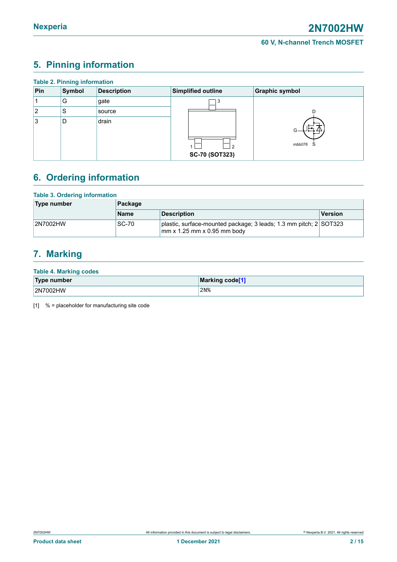### <span id="page-1-1"></span><span id="page-1-0"></span>**5. Pinning information**

| <b>Table 2. Pinning information</b> |        |                    |                       |                       |  |  |  |  |
|-------------------------------------|--------|--------------------|-----------------------|-----------------------|--|--|--|--|
| Pin                                 | Symbol | <b>Description</b> | Simplified outline    | <b>Graphic symbol</b> |  |  |  |  |
|                                     | G      | gate               | -3                    |                       |  |  |  |  |
| 2                                   | S      | source             |                       |                       |  |  |  |  |
| Ι3                                  | D      | drain              |                       | $G -$                 |  |  |  |  |
|                                     |        |                    |                       | mbb076<br>S           |  |  |  |  |
|                                     |        |                    | <b>SC-70 (SOT323)</b> |                       |  |  |  |  |

### <span id="page-1-2"></span>**6. Ordering information**

#### **Table 3. Ordering information**

| Type number | Package     |                                                                                                         |         |  |  |
|-------------|-------------|---------------------------------------------------------------------------------------------------------|---------|--|--|
|             | <b>Name</b> | <b>Description</b>                                                                                      | Version |  |  |
| 2N7002HW    | SC-70       | plastic, surface-mounted package; 3 leads; 1.3 mm pitch; 2 SOT323<br>$\rm{mm}$ x 1.25 mm x 0.95 mm body |         |  |  |

### <span id="page-1-3"></span>**7. Marking**

#### **Table 4. Marking codes**

| Type number | Marking code <sup>[1]</sup> |
|-------------|-----------------------------|
| 2N7002HW    | 2N <sub>8</sub>             |

[1] % = placeholder for manufacturing site code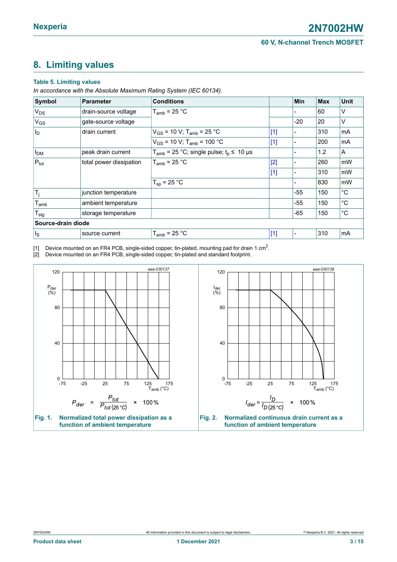### <span id="page-2-1"></span><span id="page-2-0"></span>**8. Limiting values**

#### **Table 5. Limiting values**

*In accordance with the Absolute Maximum Rating System (IEC 60134).*

| Symbol                | <b>Parameter</b>        | <b>Conditions</b>                                                 |       | <b>Min</b>     | <b>Max</b> | <b>Unit</b>       |
|-----------------------|-------------------------|-------------------------------------------------------------------|-------|----------------|------------|-------------------|
| $V_{DS}$              | drain-source voltage    | $T_{amb}$ = 25 °C                                                 |       |                | 60         | ٧                 |
| <b>V<sub>GS</sub></b> | gate-source voltage     |                                                                   |       | $-20$          | 20         | ٧                 |
| $ I_{\mathsf{D}} $    | drain current           | $V_{GS}$ = 10 V; T <sub>amb</sub> = 25 °C                         | $[1]$ |                | 310        | mA                |
|                       |                         | $V_{GS}$ = 10 V; T <sub>amb</sub> = 100 °C                        | $[1]$ | $\blacksquare$ | 200        | mA                |
| I <sub>DM</sub>       | peak drain current      | $T_{amb}$ = 25 °C; single pulse; $t_0 \le 10 \text{ }\mu\text{s}$ |       |                | 1.2        | A                 |
| $P_{\text{tot}}$      | total power dissipation | $T_{amb}$ = 25 °C                                                 | $[2]$ |                | 260        | mW                |
|                       |                         |                                                                   | $[1]$ | -              | 310        | mW                |
|                       |                         | $T_{sp}$ = 25 °C                                                  |       |                | 830        | mW                |
| $T_j$                 | junction temperature    |                                                                   |       | $-55$          | 150        | °C                |
| $T_{amb}$             | ambient temperature     |                                                                   |       | $-55$          | 150        | $^{\circ}{\rm C}$ |
| $T_{\text{stg}}$      | storage temperature     |                                                                   |       | $-65$          | 150        | $^{\circ}C$       |
| Source-drain diode    |                         |                                                                   |       |                |            |                   |
| $\vert$ <sub>s</sub>  | source current          | $T_{amb}$ = 25 °C                                                 | $[1]$ | $\blacksquare$ | 310        | mA                |

[1] Device mounted on an FR4 PCB, single-sided copper, tin-plated, mounting pad for drain 1 cm $^2$ .

[2] Device mounted on an FR4 PCB, single-sided copper, tin-plated and standard footprint.

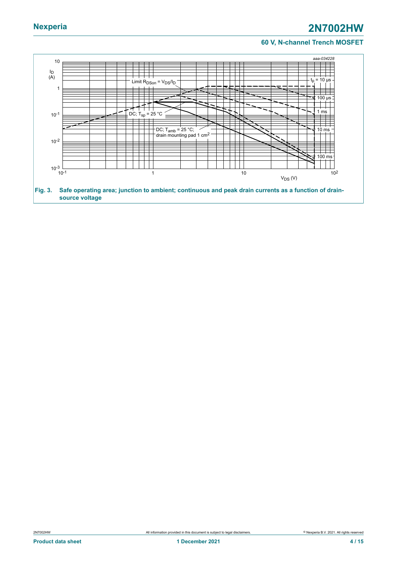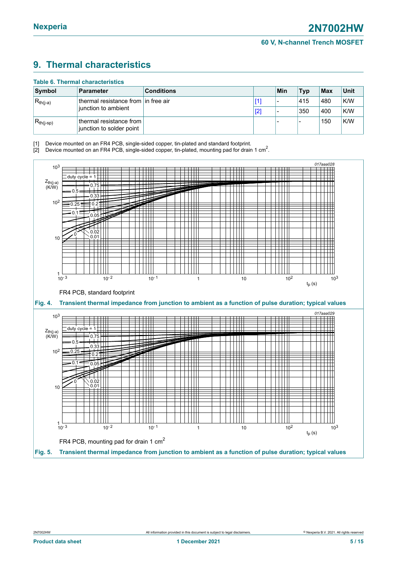### <span id="page-4-1"></span><span id="page-4-0"></span>**9. Thermal characteristics**

| <b>Table 6. Thermal characteristics</b> |                                                     |                   |  |     |            |         |      |
|-----------------------------------------|-----------------------------------------------------|-------------------|--|-----|------------|---------|------|
| Symbol                                  | <b>Parameter</b>                                    | <b>Conditions</b> |  | Min | <b>Typ</b> | $ $ Max | Unit |
| $ R_{th(j-a)} $<br>junction to ambient  | thermal resistance from in free air                 |                   |  |     | 415        | 480     | K/W  |
|                                         |                                                     | [2]               |  | 350 | 400        | K/W     |      |
| $R_{th(i-sp)}$                          | thermal resistance from<br>junction to solder point |                   |  |     |            | 150     | K/W  |

[1] Device mounted on an FR4 PCB, single-sided copper, tin-plated and standard footprint.

[2] Device mounted on an FR4 PCB, single-sided copper, tin-plated, mounting pad for drain 1 cm<sup>2</sup>.

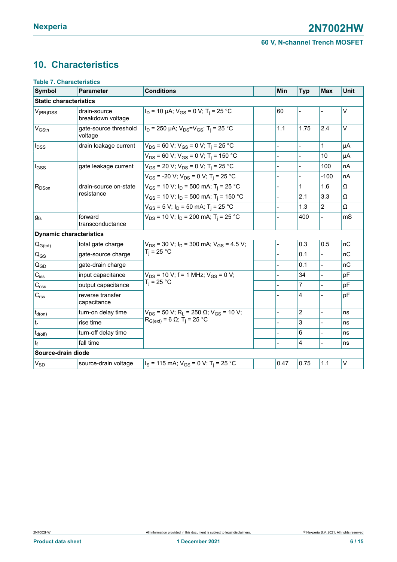### <span id="page-5-0"></span>**10. Characteristics**

| <b>Table 7. Characteristics</b> |                                   |                                                                          |                |                |                |             |
|---------------------------------|-----------------------------------|--------------------------------------------------------------------------|----------------|----------------|----------------|-------------|
| <b>Symbol</b>                   | <b>Parameter</b>                  | <b>Conditions</b>                                                        | <b>Min</b>     | <b>Typ</b>     | <b>Max</b>     | <b>Unit</b> |
| <b>Static characteristics</b>   |                                   |                                                                          |                |                |                |             |
| $V_{(BR)DSS}$                   | drain-source<br>breakdown voltage | $I_D$ = 10 µA; $V_{GS}$ = 0 V; T <sub>i</sub> = 25 °C                    | 60             | $\frac{1}{2}$  |                | $\vee$      |
| V <sub>GSth</sub>               | gate-source threshold<br>voltage  | $I_D$ = 250 µA; $V_{DS} = V_{GS}$ ; T <sub>i</sub> = 25 °C               | 1.1            | 1.75           | 2.4            | V           |
| $I_{DSS}$                       | drain leakage current             | $V_{DS}$ = 60 V; V <sub>GS</sub> = 0 V; T <sub>i</sub> = 25 °C           |                |                | 1              | μA          |
|                                 |                                   | $V_{DS}$ = 60 V; V <sub>GS</sub> = 0 V; T <sub>i</sub> = 150 °C          |                |                | 10             | μA          |
| $I_{GSS}$                       | gate leakage current              | $V_{GS}$ = 20 V; $V_{DS}$ = 0 V; T <sub>i</sub> = 25 °C                  |                | $\overline{a}$ | 100            | nA          |
|                                 |                                   | $V_{GS}$ = -20 V; $V_{DS}$ = 0 V; T <sub>i</sub> = 25 °C                 |                |                | $-100$         | nA          |
| $R_{DSon}$                      | drain-source on-state             | $V_{GS}$ = 10 V; $I_D$ = 500 mA; T <sub>i</sub> = 25 °C                  |                | 1              | 1.6            | Ω           |
|                                 | resistance                        | $V_{GS}$ = 10 V; $I_D$ = 500 mA; T <sub>i</sub> = 150 °C                 | $\overline{a}$ | 2.1            | 3.3            | Ω           |
|                                 |                                   | $V_{GS}$ = 5 V; $I_D$ = 50 mA; T <sub>i</sub> = 25 °C                    |                | 1.3            | $\overline{2}$ | Ω           |
| $g_{fs}$                        | forward<br>transconductance       | $V_{DS}$ = 10 V; $I_D$ = 200 mA; T <sub>i</sub> = 25 °C                  |                | 400            | $\overline{a}$ | mS          |
|                                 | <b>Dynamic characteristics</b>    |                                                                          |                |                |                |             |
| $Q_{G(tot)}$                    | total gate charge                 | $V_{DS}$ = 30 V; $I_D$ = 300 mA; $V_{GS}$ = 4.5 V;                       | $\overline{a}$ | 0.3            | 0.5            | nC          |
| $Q_{GS}$                        | gate-source charge                | $T_i = 25 °C$                                                            |                | 0.1            |                | nC          |
| $Q_{GD}$                        | gate-drain charge                 |                                                                          |                | 0.1            |                | nC          |
| $C_{iss}$                       | input capacitance                 | $V_{DS}$ = 10 V; f = 1 MHz; $V_{GS}$ = 0 V;                              |                | 34             |                | pF          |
| $C_{\rm oss}$                   | output capacitance                | $T_i = 25 °C$                                                            |                | $\overline{7}$ |                | pF          |
| C <sub>rss</sub>                | reverse transfer<br>capacitance   |                                                                          |                | 4              |                | pF          |
| $t_{d(on)}$                     | turn-on delay time                | $V_{DS}$ = 50 V; R <sub>L</sub> = 250 $\Omega$ ; V <sub>GS</sub> = 10 V; |                | $\overline{2}$ | $\overline{a}$ | ns          |
| $\mathfrak{t}_{\mathsf{r}}$     | rise time                         | $R_{G(ext)} = 6 Ω$ ; T <sub>i</sub> = 25 °C                              |                | 3              |                | ns          |
| $t_{d(\text{off})}$             | turn-off delay time               |                                                                          |                | 6              |                | ns          |
| tғ                              | fall time                         |                                                                          |                | 4              | $\overline{a}$ | ns          |
| Source-drain diode              |                                   |                                                                          |                |                |                |             |
| $V_{SD}$                        | source-drain voltage              | $I_S$ = 115 mA; $V_{GS}$ = 0 V; T <sub>i</sub> = 25 °C                   | 0.47           | 0.75           | 1.1            | V           |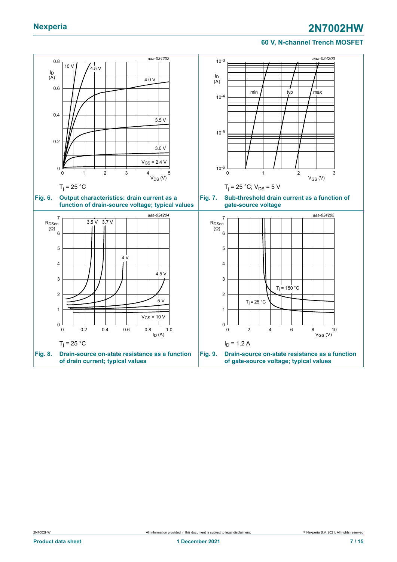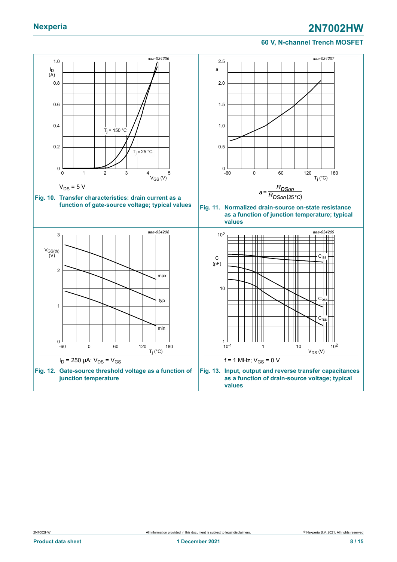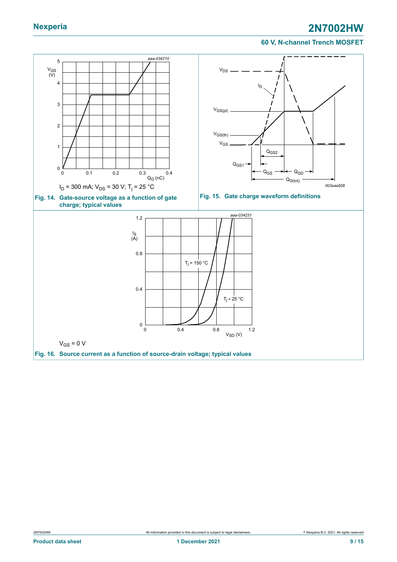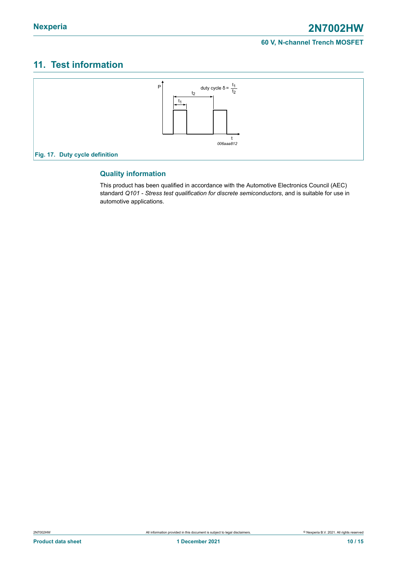### <span id="page-9-0"></span>**11. Test information**



### **Quality information**

This product has been qualified in accordance with the Automotive Electronics Council (AEC) standard *Q101 - Stress test qualification for discrete semiconductors*, and is suitable for use in automotive applications.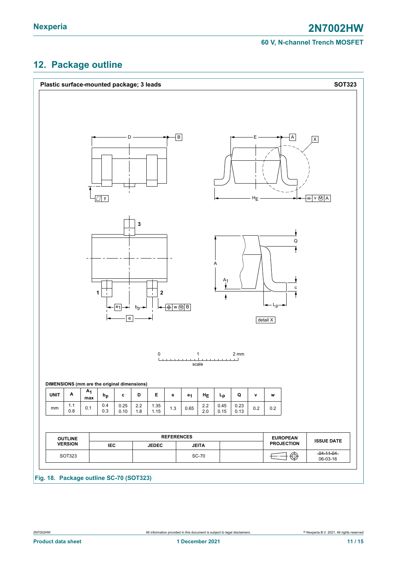### <span id="page-10-0"></span>**12. Package outline**

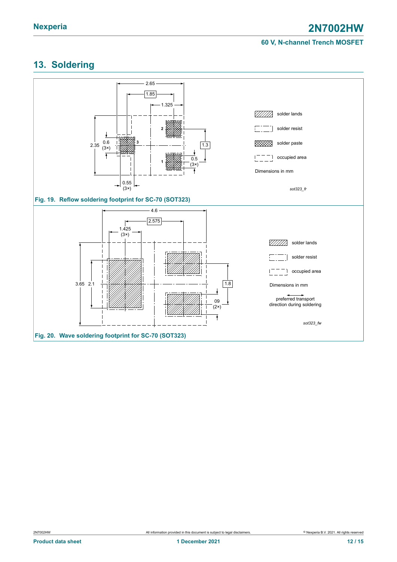### <span id="page-11-0"></span>**13. Soldering**

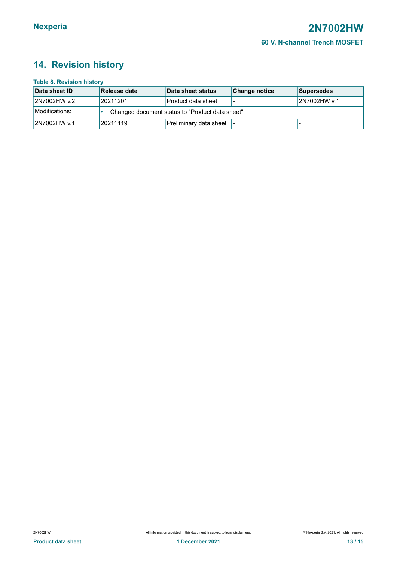### <span id="page-12-0"></span>**14. Revision history**

| <b>Table 8. Revision history</b> |                                                 |                        |                      |              |  |  |
|----------------------------------|-------------------------------------------------|------------------------|----------------------|--------------|--|--|
| Data sheet ID                    | Release date                                    | Data sheet status      | <b>Change notice</b> | Supersedes   |  |  |
| 2N7002HW v.2                     | 20211201                                        | Product data sheet     |                      | 2N7002HW v.1 |  |  |
| Modifications:                   | Changed document status to "Product data sheet" |                        |                      |              |  |  |
| 2N7002HW v.1                     | 20211119                                        | Preliminary data sheet |                      |              |  |  |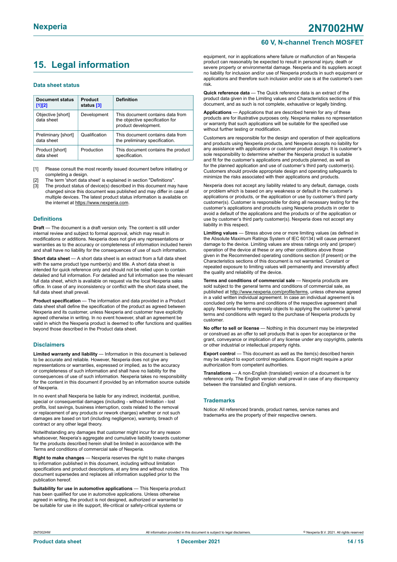## <span id="page-13-0"></span>**15. Legal information**

#### **Data sheet status**

| <b>Document status</b><br>$[1]$ [2] | Product<br>status [3] | <b>Definition</b>                                                                           |
|-------------------------------------|-----------------------|---------------------------------------------------------------------------------------------|
| Objective [short]<br>data sheet     | Development           | This document contains data from<br>the objective specification for<br>product development. |
| Preliminary [short]<br>data sheet   | Qualification         | This document contains data from<br>the preliminary specification.                          |
| Product [short]<br>data sheet       | Production            | This document contains the product<br>specification.                                        |

[1] Please consult the most recently issued document before initiating or completing a design.

- The term 'short data sheet' is explained in section "Definitions".
- [3] The product status of device(s) described in this document may have changed since this document was published and may differ in case of multiple devices. The latest product status information is available on the internet at [https://www.nexperia.com.](https://www.nexperia.com)

#### **Definitions**

**Draft** — The document is a draft version only. The content is still under internal review and subject to formal approval, which may result in modifications or additions. Nexperia does not give any representations or warranties as to the accuracy or completeness of information included herein and shall have no liability for the consequences of use of such information.

**Short data sheet** — A short data sheet is an extract from a full data sheet with the same product type number(s) and title. A short data sheet is intended for quick reference only and should not be relied upon to contain detailed and full information. For detailed and full information see the relevant full data sheet, which is available on request via the local Nexperia sales office. In case of any inconsistency or conflict with the short data sheet, the full data sheet shall prevail.

**Product specification** — The information and data provided in a Product data sheet shall define the specification of the product as agreed between Nexperia and its customer, unless Nexperia and customer have explicitly agreed otherwise in writing. In no event however, shall an agreement be valid in which the Nexperia product is deemed to offer functions and qualities beyond those described in the Product data sheet.

#### **Disclaimers**

**Limited warranty and liability** — Information in this document is believed to be accurate and reliable. However, Nexperia does not give any representations or warranties, expressed or implied, as to the accuracy or completeness of such information and shall have no liability for the consequences of use of such information. Nexperia takes no responsibility for the content in this document if provided by an information source outside of Nexperia.

In no event shall Nexperia be liable for any indirect, incidental, punitive, special or consequential damages (including - without limitation - lost profits, lost savings, business interruption, costs related to the removal or replacement of any products or rework charges) whether or not such damages are based on tort (including negligence), warranty, breach of contract or any other legal theory.

Notwithstanding any damages that customer might incur for any reason whatsoever, Nexperia's aggregate and cumulative liability towards customer for the products described herein shall be limited in accordance with the Terms and conditions of commercial sale of Nexperia.

**Right to make changes** — Nexperia reserves the right to make changes to information published in this document, including without limitation specifications and product descriptions, at any time and without notice. This document supersedes and replaces all information supplied prior to the publication hereof

**Suitability for use in automotive applications** — This Nexperia product has been qualified for use in automotive applications. Unless otherwise agreed in writing, the product is not designed, authorized or warranted to be suitable for use in life support, life-critical or safety-critical systems or

### **60 V, N-channel Trench MOSFET**

equipment, nor in applications where failure or malfunction of an Nexperia product can reasonably be expected to result in personal injury, death or severe property or environmental damage. Nexperia and its suppliers accept no liability for inclusion and/or use of Nexperia products in such equipment or applications and therefore such inclusion and/or use is at the customer's own risk.

**Quick reference data** — The Quick reference data is an extract of the product data given in the Limiting values and Characteristics sections of this document, and as such is not complete, exhaustive or legally binding.

**Applications** — Applications that are described herein for any of these products are for illustrative purposes only. Nexperia makes no representation or warranty that such applications will be suitable for the specified use without further testing or modification.

Customers are responsible for the design and operation of their applications and products using Nexperia products, and Nexperia accepts no liability for any assistance with applications or customer product design. It is customer's sole responsibility to determine whether the Nexperia product is suitable and fit for the customer's applications and products planned, as well as for the planned application and use of customer's third party customer(s). Customers should provide appropriate design and operating safeguards to minimize the risks associated with their applications and products.

Nexperia does not accept any liability related to any default, damage, costs or problem which is based on any weakness or default in the customer's applications or products, or the application or use by customer's third party customer(s). Customer is responsible for doing all necessary testing for the customer's applications and products using Nexperia products in order to avoid a default of the applications and the products or of the application or use by customer's third party customer(s). Nexperia does not accept any liability in this respect.

**Limiting values** — Stress above one or more limiting values (as defined in the Absolute Maximum Ratings System of IEC 60134) will cause permanent damage to the device. Limiting values are stress ratings only and (proper) operation of the device at these or any other conditions above those given in the Recommended operating conditions section (if present) or the Characteristics sections of this document is not warranted. Constant or repeated exposure to limiting values will permanently and irreversibly affect the quality and reliability of the device.

**Terms and conditions of commercial sale** — Nexperia products are sold subject to the general terms and conditions of commercial sale, as published at [http://www.nexperia.com/profile/terms,](http://www.nexperia.com/profile/terms) unless otherwise agreed in a valid written individual agreement. In case an individual agreement is concluded only the terms and conditions of the respective agreement shall apply. Nexperia hereby expressly objects to applying the customer's general terms and conditions with regard to the purchase of Nexperia products by customer.

**No offer to sell or license** — Nothing in this document may be interpreted or construed as an offer to sell products that is open for acceptance or the grant, conveyance or implication of any license under any copyrights, patents or other industrial or intellectual property rights.

**Export control** — This document as well as the item(s) described herein may be subject to export control regulations. Export might require a prior authorization from competent authorities.

**Translations** — A non-English (translated) version of a document is for reference only. The English version shall prevail in case of any discrepancy between the translated and English versions.

#### **Trademarks**

Notice: All referenced brands, product names, service names and trademarks are the property of their respective owners.